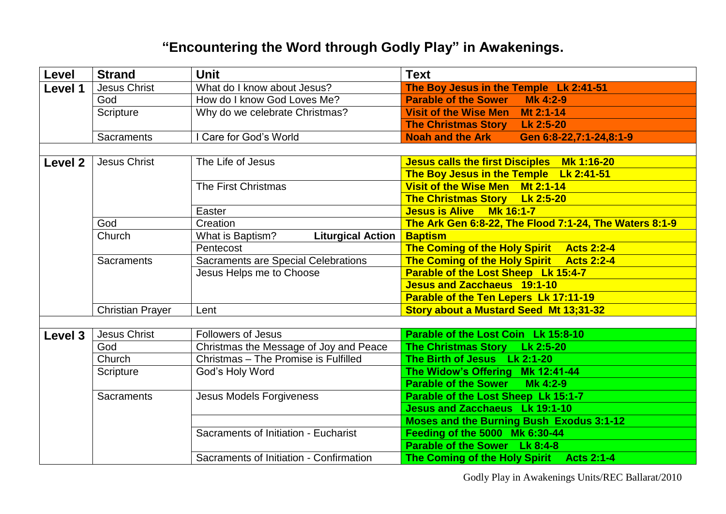## **"Encountering the Word through Godly Play" in Awakenings.**

| Level   | <b>Strand</b>           | <b>Unit</b>                                  | <b>Text</b>                                            |
|---------|-------------------------|----------------------------------------------|--------------------------------------------------------|
| Level 1 | <b>Jesus Christ</b>     | What do I know about Jesus?                  | The Boy Jesus in the Temple Lk 2:41-51                 |
|         | God                     | How do I know God Loves Me?                  | <b>Parable of the Sower Mk 4:2-9</b>                   |
|         | Scripture               | Why do we celebrate Christmas?               | Visit of the Wise Men Mt 2:1-14                        |
|         |                         |                                              | The Christmas Story Lk 2:5-20                          |
|         | <b>Sacraments</b>       | I Care for God's World                       | <b>Noah and the Ark</b><br>Gen 6:8-22,7:1-24,8:1-9     |
|         |                         |                                              |                                                        |
| Level 2 | <b>Jesus Christ</b>     | The Life of Jesus                            | Jesus calls the first Disciples Mk 1:16-20             |
|         |                         |                                              | The Boy Jesus in the Temple Lk 2:41-51                 |
|         |                         | The First Christmas                          | Visit of the Wise Men Mt 2:1-14                        |
|         |                         |                                              | The Christmas Story Lk 2:5-20                          |
|         |                         | Easter                                       | Jesus is Alive Mk 16:1-7                               |
|         | God                     | Creation                                     | The Ark Gen 6:8-22, The Flood 7:1-24, The Waters 8:1-9 |
|         | Church                  | <b>Liturgical Action</b><br>What is Baptism? | <b>Baptism</b>                                         |
|         |                         | Pentecost                                    | The Coming of the Holy Spirit Acts 2:2-4               |
|         | <b>Sacraments</b>       | <b>Sacraments are Special Celebrations</b>   | The Coming of the Holy Spirit Acts 2:2-4               |
|         |                         | Jesus Helps me to Choose                     | Parable of the Lost Sheep Lk 15:4-7                    |
|         |                         |                                              | Jesus and Zacchaeus 19:1-10                            |
|         |                         |                                              | Parable of the Ten Lepers Lk 17:11-19                  |
|         | <b>Christian Prayer</b> | Lent                                         | Story about a Mustard Seed Mt 13;31-32                 |
|         |                         |                                              |                                                        |
| Level 3 | <b>Jesus Christ</b>     | <b>Followers of Jesus</b>                    | Parable of the Lost Coin Lk 15:8-10                    |
|         | God                     | Christmas the Message of Joy and Peace       | The Christmas Story Lk 2:5-20                          |
|         | Church                  | Christmas - The Promise is Fulfilled         | The Birth of Jesus Lk 2:1-20                           |
|         | Scripture               | God's Holy Word                              | The Widow's Offering Mk 12:41-44                       |
|         |                         |                                              | <b>Parable of the Sower</b><br>Mk 4:2-9                |
|         | <b>Sacraments</b>       | <b>Jesus Models Forgiveness</b>              | Parable of the Lost Sheep Lk 15:1-7                    |
|         |                         |                                              | <b>Jesus and Zacchaeus</b> Lk 19:1-10                  |
|         |                         |                                              | <b>Moses and the Burning Bush Exodus 3:1-12</b>        |
|         |                         | Sacraments of Initiation - Eucharist         | Feeding of the 5000 Mk 6:30-44                         |
|         |                         |                                              | Parable of the Sower Lk 8:4-8                          |
|         |                         | Sacraments of Initiation - Confirmation      | The Coming of the Holy Spirit<br><b>Acts 2:1-4</b>     |